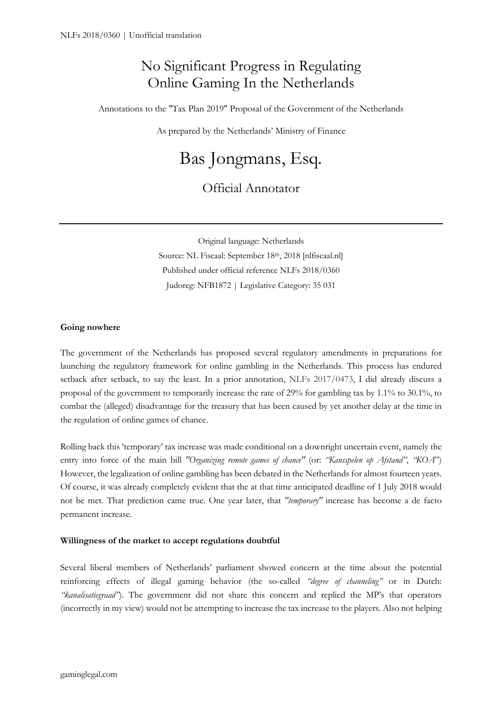## No Significant Progress in Regulating Online Gaming In the Netherlands

Annotations to the "Tax Plan 2019" Proposal of the Government of the Netherlands

As prepared by the Netherlands' Ministry of Finance

# Bas Jongmans, Esq.

### Official Annotator

Original language: Netherlands Source: NL Fiscaal: September 18th, 2018 [nlfiscaal.nl]

Published under official reference NLFs 2018/0360

Judoreg: NFB1872 | Legislative Category: 35 031

#### **Going nowhere**

The government of the Netherlands has proposed several regulatory amendments in preparations for launching the regulatory framework for online gambling in the Netherlands. This process has endured setback after setback, to say the least. In a prior annotation, NLFs 2017/0473, I did already discuss a proposal of the government to temporarily increase the rate of 29% for gambling tax by 1.1% to 30.1%, to combat the (alleged) disadvantage for the treasury that has been caused by yet another delay at the time in the regulation of online games of chance.

Rolling back this 'temporary' tax increase was made conditional on a downright uncertain event, namely the entry into force of the main bill *"Organizing remote games of chance"* (or: *"Kansspelen op Afstand"*, *"KOA*") However, the legalization of online gambling has been debated in the Netherlands for almost fourteen years. Of course, it was already completely evident that the at that time anticipated deadline of 1 July 2018 would not be met. That prediction came true. One year later, that *"temporary"* increase has become a de facto permanent increase.

#### **Willingness of the market to accept regulations doubtful**

Several liberal members of Netherlands' parliament showed concern at the time about the potential reinforcing effects of illegal gaming behavior (the so-called *"degree of channeling"* or in Dutch: *"kanalisatiegraad"*). The government did not share this concern and replied the MP's that operators (incorrectly in my view) would not be attempting to increase the tax increase to the players. Also not helping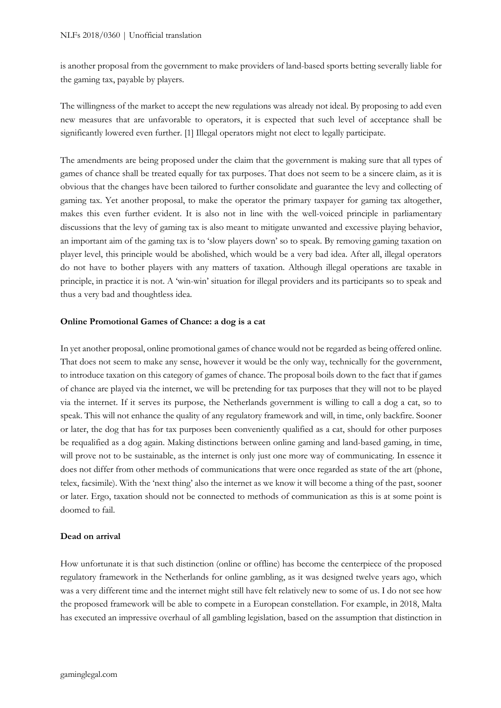is another proposal from the government to make providers of land-based sports betting severally liable for the gaming tax, payable by players.

The willingness of the market to accept the new regulations was already not ideal. By proposing to add even new measures that are unfavorable to operators, it is expected that such level of acceptance shall be significantly lowered even further. [1] Illegal operators might not elect to legally participate.

The amendments are being proposed under the claim that the government is making sure that all types of games of chance shall be treated equally for tax purposes. That does not seem to be a sincere claim, as it is obvious that the changes have been tailored to further consolidate and guarantee the levy and collecting of gaming tax. Yet another proposal, to make the operator the primary taxpayer for gaming tax altogether, makes this even further evident. It is also not in line with the well-voiced principle in parliamentary discussions that the levy of gaming tax is also meant to mitigate unwanted and excessive playing behavior, an important aim of the gaming tax is to 'slow players down' so to speak. By removing gaming taxation on player level, this principle would be abolished, which would be a very bad idea. After all, illegal operators do not have to bother players with any matters of taxation. Although illegal operations are taxable in principle, in practice it is not. A 'win-win' situation for illegal providers and its participants so to speak and thus a very bad and thoughtless idea.

#### **Online Promotional Games of Chance: a dog is a cat**

In yet another proposal, online promotional games of chance would not be regarded as being offered online. That does not seem to make any sense, however it would be the only way, technically for the government, to introduce taxation on this category of games of chance. The proposal boils down to the fact that if games of chance are played via the internet, we will be pretending for tax purposes that they will not to be played via the internet. If it serves its purpose, the Netherlands government is willing to call a dog a cat, so to speak. This will not enhance the quality of any regulatory framework and will, in time, only backfire. Sooner or later, the dog that has for tax purposes been conveniently qualified as a cat, should for other purposes be requalified as a dog again. Making distinctions between online gaming and land-based gaming, in time, will prove not to be sustainable, as the internet is only just one more way of communicating. In essence it does not differ from other methods of communications that were once regarded as state of the art (phone, telex, facsimile). With the 'next thing' also the internet as we know it will become a thing of the past, sooner or later. Ergo, taxation should not be connected to methods of communication as this is at some point is doomed to fail.

#### **Dead on arrival**

How unfortunate it is that such distinction (online or offline) has become the centerpiece of the proposed regulatory framework in the Netherlands for online gambling, as it was designed twelve years ago, which was a very different time and the internet might still have felt relatively new to some of us. I do not see how the proposed framework will be able to compete in a European constellation. For example, in 2018, Malta has executed an impressive overhaul of all gambling legislation, based on the assumption that distinction in